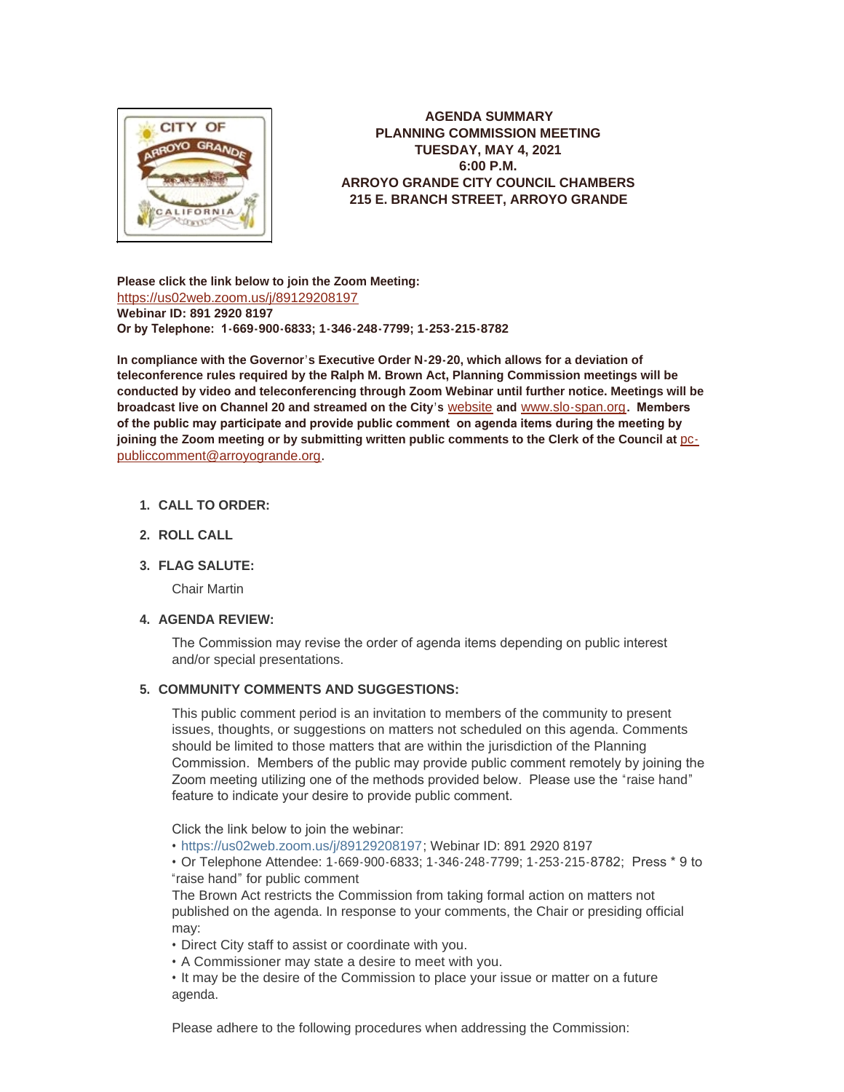

**AGENDA SUMMARY PLANNING COMMISSION MEETING TUESDAY, MAY 4, 2021 6:00 P.M. ARROYO GRANDE CITY COUNCIL CHAMBERS 215 E. BRANCH STREET, ARROYO GRANDE**

**Please click the link below to join the Zoom Meeting:** <https://us02web.zoom.us/j/89129208197> **Webinar ID: 891 2920 8197 Or by Telephone: 1-669-900-6833; 1-346-248-7799; 1-253-215-8782**

**In compliance with the Governor's Executive Order N-29-20, which allows for a deviation of teleconference rules required by the Ralph M. Brown Act, Planning Commission meetings will be conducted by video and teleconferencing through Zoom Webinar until further notice. Meetings will be broadcast live on Channel 20 and streamed on the City's** [website](http://www.arroyogrande.org/631/Govt-Access-TV---Channel-20) **and** [www.slo-span.org](https://cal-span.org/unipage/index.php?site=slo-span&channel=2&site=slo-span&channel=2)**. Members of the public may participate and provide public comment on agenda items during the meeting by**  joining the Zoom meeting or by submitting written public comments to the Clerk of the Council at **pc**publiccomment@arroyogrande.org**.** 

# **CALL TO ORDER: 1.**

**ROLL CALL 2.**

# **FLAG SALUTE: 3.**

Chair Martin

# **AGENDA REVIEW: 4.**

The Commission may revise the order of agenda items depending on public interest and/or special presentations.

## **COMMUNITY COMMENTS AND SUGGESTIONS: 5.**

This public comment period is an invitation to members of the community to present issues, thoughts, or suggestions on matters not scheduled on this agenda. Comments should be limited to those matters that are within the jurisdiction of the Planning Commission. Members of the public may provide public comment remotely by joining the Zoom meeting utilizing one of the methods provided below. Please use the "raise hand" feature to indicate your desire to provide public comment.

Click the link below to join the webinar:

• <https://us02web.zoom.us/j/89129208197>; Webinar ID: 891 2920 8197

• Or Telephone Attendee: 1-669-900-6833; 1-346-248-7799; 1-253-215-8782; Press \* 9 to "raise hand" for public comment

The Brown Act restricts the Commission from taking formal action on matters not published on the agenda. In response to your comments, the Chair or presiding official may:

• Direct City staff to assist or coordinate with you.

• A Commissioner may state a desire to meet with you.

• It may be the desire of the Commission to place your issue or matter on a future agenda.

Please adhere to the following procedures when addressing the Commission: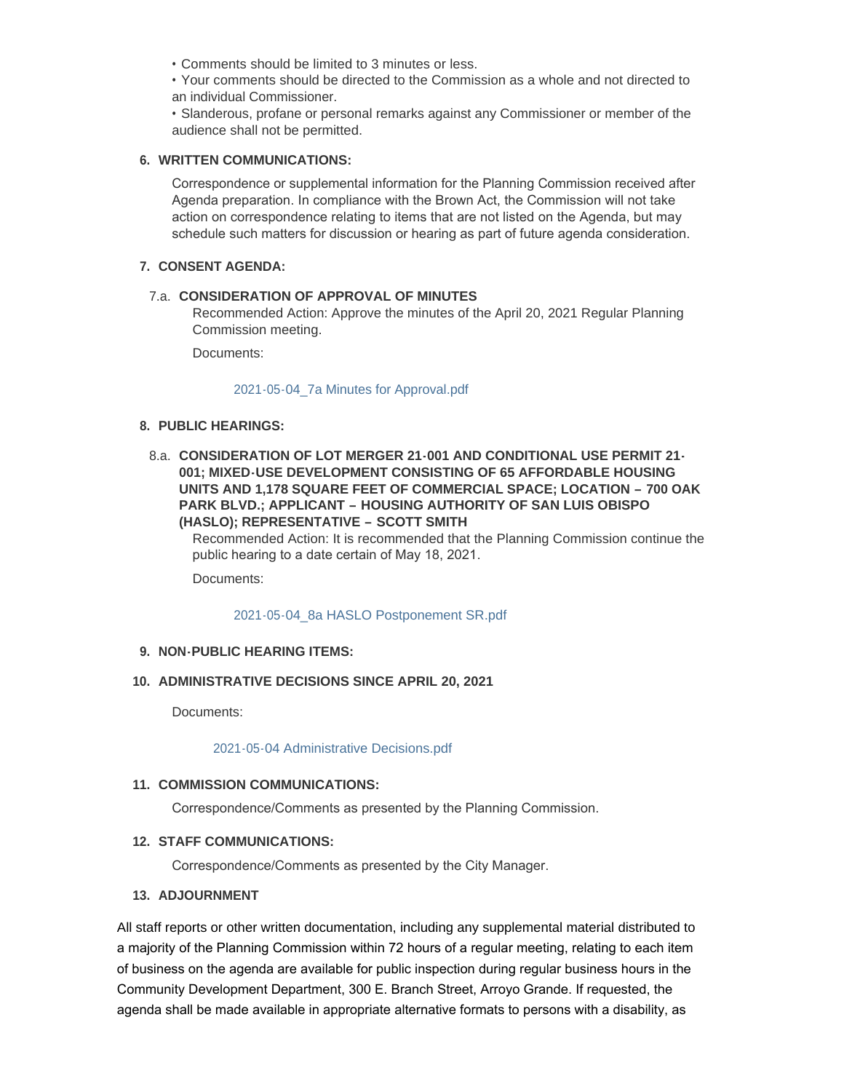• Comments should be limited to 3 minutes or less.

• Your comments should be directed to the Commission as a whole and not directed to an individual Commissioner.

• Slanderous, profane or personal remarks against any Commissioner or member of the audience shall not be permitted.

#### **WRITTEN COMMUNICATIONS: 6.**

Correspondence or supplemental information for the Planning Commission received after Agenda preparation. In compliance with the Brown Act, the Commission will not take action on correspondence relating to items that are not listed on the Agenda, but may schedule such matters for discussion or hearing as part of future agenda consideration.

#### **CONSENT AGENDA: 7.**

## **CONSIDERATION OF APPROVAL OF MINUTES**  7.a.

Recommended Action: Approve the minutes of the April 20, 2021 Regular Planning Commission meeting.

Documents:

#### [2021-05-04\\_7a Minutes for Approval.pdf](http://www.arroyogrande.org/AgendaCenter/ViewFile/Item/10976?fileID=17124)

## **PUBLIC HEARINGS: 8.**

**CONSIDERATION OF LOT MERGER 21-001 AND CONDITIONAL USE PERMIT 21-** 8.a. **001; MIXED-USE DEVELOPMENT CONSISTING OF 65 AFFORDABLE HOUSING UNITS AND 1,178 SQUARE FEET OF COMMERCIAL SPACE; LOCATION – 700 OAK PARK BLVD.; APPLICANT – HOUSING AUTHORITY OF SAN LUIS OBISPO (HASLO); REPRESENTATIVE – SCOTT SMITH**

Recommended Action: It is recommended that the Planning Commission continue the public hearing to a date certain of May 18, 2021.

Documents:

#### [2021-05-04\\_8a HASLO Postponement SR.pdf](http://www.arroyogrande.org/AgendaCenter/ViewFile/Item/10977?fileID=17125)

# **NON-PUBLIC HEARING ITEMS: 9.**

### **ADMINISTRATIVE DECISIONS SINCE APRIL 20, 2021 10.**

Documents:

#### [2021-05-04 Administrative Decisions.pdf](http://www.arroyogrande.org/AgendaCenter/ViewFile/Item/10991?fileID=17123)

# 11. COMMISSION COMMUNICATIONS:

Correspondence/Comments as presented by the Planning Commission.

#### **STAFF COMMUNICATIONS: 12.**

Correspondence/Comments as presented by the City Manager.

#### **ADJOURNMENT 13.**

All staff reports or other written documentation, including any supplemental material distributed to a majority of the Planning Commission within 72 hours of a regular meeting, relating to each item of business on the agenda are available for public inspection during regular business hours in the Community Development Department, 300 E. Branch Street, Arroyo Grande. If requested, the agenda shall be made available in appropriate alternative formats to persons with a disability, as